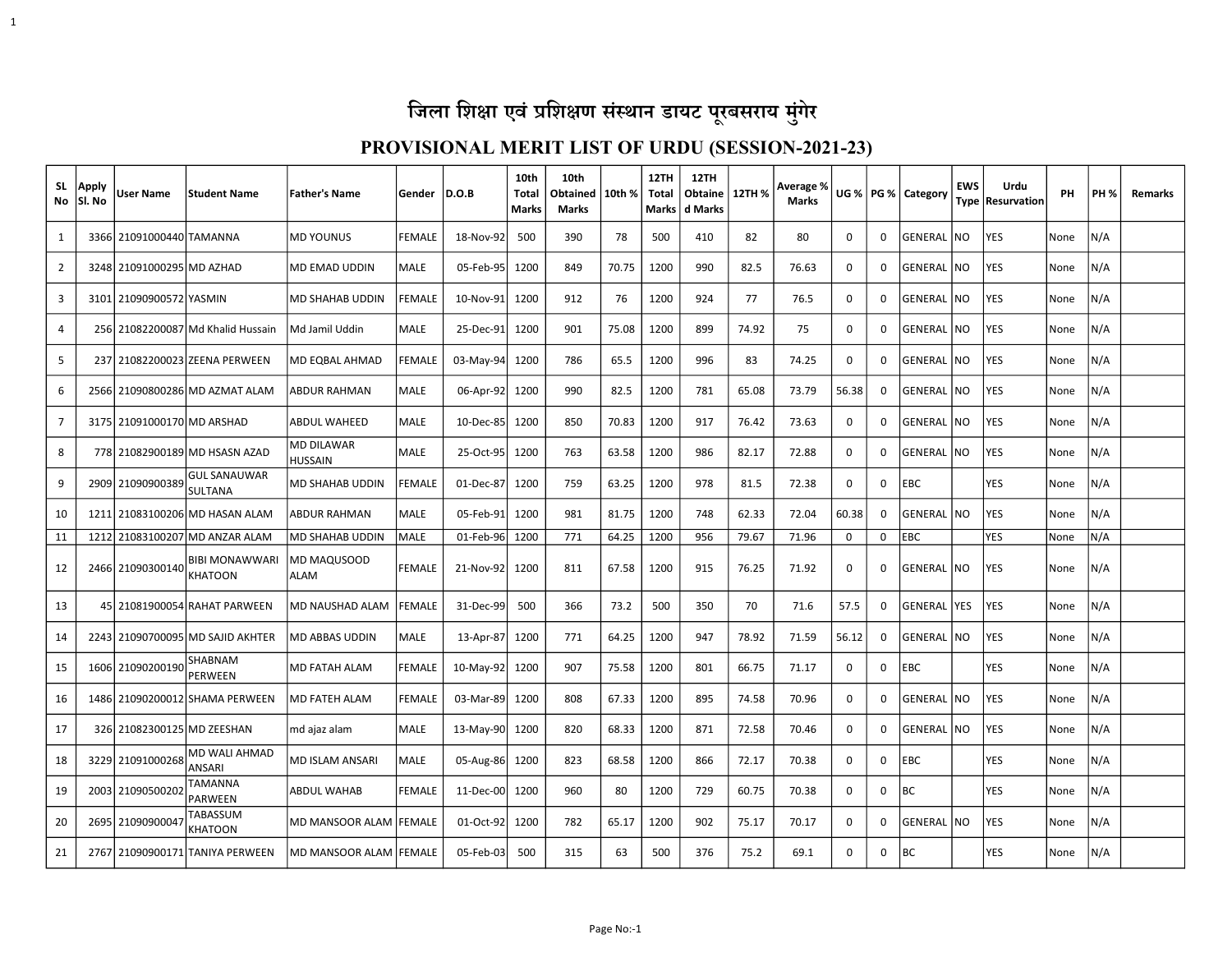1

| SL.<br>No      | Apply<br>lSI. No | User Name                  | <b>Student Name</b>                     | <b>Father's Name</b>                | Gender        | D.O.B          | 10th<br>Total<br><b>Marks</b> | 10th<br>Obtained<br>Marks | 10th % | 12TH<br>Total<br><b>Marks</b> | 12TH<br><b>Obtaine</b><br>d Marks | 12TH % | Average %<br><b>Marks</b> |             |             | UG %   PG %   Category | <b>EWS</b> | Urdu<br>Type   Resurvation | <b>PH</b> | <b>PH %</b> | <b>Remarks</b> |
|----------------|------------------|----------------------------|-----------------------------------------|-------------------------------------|---------------|----------------|-------------------------------|---------------------------|--------|-------------------------------|-----------------------------------|--------|---------------------------|-------------|-------------|------------------------|------------|----------------------------|-----------|-------------|----------------|
| 1              |                  | 3366 21091000440 TAMANNA   |                                         | <b>MD YOUNUS</b>                    | FEMALE        | 18-Nov-92      | 500                           | 390                       | 78     | 500                           | 410                               | 82     | 80                        | 0           | 0           | GENERAL NO             |            | <b>YES</b>                 | None      | N/A         |                |
| $\overline{2}$ |                  | 3248 21091000295 MD AZHAD  |                                         | MD EMAD UDDIN                       | MALE          | 05-Feb-95      | 1200                          | 849                       | 70.75  | 1200                          | 990                               | 82.5   | 76.63                     | $\Omega$    | $\Omega$    | GENERAL NO             |            | YES                        | None      | N/A         |                |
| $\overline{3}$ |                  | 3101 21090900572 YASMIN    |                                         | MD SHAHAB UDDIN                     | <b>FEMALE</b> | 10-Nov-91      | 1200                          | 912                       | 76     | 1200                          | 924                               | 77     | 76.5                      | $\Omega$    | 0           | GENERAL NO             |            | <b>YES</b>                 | None      | N/A         |                |
| 4              |                  |                            | 256 21082200087 Md Khalid Hussain       | Md Jamil Uddin                      | MALE          | 25-Dec-91      | 1200                          | 901                       | 75.08  | 1200                          | 899                               | 74.92  | 75                        | $\mathbf 0$ | 0           | GENERAL NO             |            | YES                        | None      | N/A         |                |
| 5              |                  |                            | 237 21082200023 ZEENA PERWEEN           | <b>MD EQBAL AHMAD</b>               | <b>FEMALE</b> | $03-May-94$    | 1200                          | 786                       | 65.5   | 1200                          | 996                               | 83     | 74.25                     | 0           | 0           | GENERAL NO             |            | <b>YES</b>                 | None      | N/A         |                |
| 6              |                  |                            | 2566 21090800286 MD AZMAT ALAM          | ABDUR RAHMAN                        | MALE          | 06-Apr-92 1200 |                               | 990                       | 82.5   | 1200                          | 781                               | 65.08  | 73.79                     | 56.38       | 0           | GENERAL NO             |            | <b>YES</b>                 | None      | N/A         |                |
| $\overline{7}$ |                  | 3175 21091000170 MD ARSHAD |                                         | <b>ABDUL WAHEED</b>                 | <b>MALE</b>   | 10-Dec-85      | 1200                          | 850                       | 70.83  | 1200                          | 917                               | 76.42  | 73.63                     | $\mathbf 0$ | $\Omega$    | GENERAL                | I NO       | <b>YES</b>                 | None      | N/A         |                |
| 8              |                  |                            | 778 21082900189 MD HSASN AZAD           | <b>MD DILAWAR</b><br><b>HUSSAIN</b> | MALE          | 25-Oct-95      | 1200                          | 763                       | 63.58  | 1200                          | 986                               | 82.17  | 72.88                     | 0           | 0           | GENERAL NO             |            | YES                        | None      | N/A         |                |
| 9              |                  | 2909 21090900389           | <b>GUL SANAUWAR</b><br><b>SULTANA</b>   | MD SHAHAB UDDIN                     | <b>FEMALE</b> | 01-Dec-87      | 1200                          | 759                       | 63.25  | 1200                          | 978                               | 81.5   | 72.38                     | $\Omega$    | 0           | <b>EBC</b>             |            | <b>YES</b>                 | None      | N/A         |                |
| 10             |                  |                            | 1211 21083100206 MD HASAN ALAM          | ABDUR RAHMAN                        | <b>MALE</b>   | 05-Feb-91      | 1200                          | 981                       | 81.75  | 1200                          | 748                               | 62.33  | 72.04                     | 60.38       | 0           | <b>GENERAL INO</b>     |            | <b>YES</b>                 | None      | N/A         |                |
| 11             |                  |                            | 1212 21083100207 MD ANZAR ALAM          | MD SHAHAB UDDIN                     | <b>MALE</b>   | 01-Feb-96      | 1200                          | 771                       | 64.25  | 1200                          | 956                               | 79.67  | 71.96                     | $\mathbf 0$ | $\mathbf 0$ | <b>EBC</b>             |            | YES                        | None      | N/A         |                |
| 12             |                  | 2466 21090300140           | <b>BIBI MONAWWARI</b><br><b>KHATOON</b> | MD MAQUSOOD<br><b>ALAM</b>          | <b>FEMALE</b> | 21-Nov-92      | 1200                          | 811                       | 67.58  | 1200                          | 915                               | 76.25  | 71.92                     | 0           | 0           | GENERAL NO             |            | <b>YES</b>                 | None      | N/A         |                |
| 13             |                  |                            | 45 21081900054 RAHAT PARWEEN            | MD NAUSHAD ALAM                     | <b>FEMALE</b> | 31-Dec-99      | 500                           | 366                       | 73.2   | 500                           | 350                               | 70     | 71.6                      | 57.5        | 0           | GENERAL YES            |            | <b>YES</b>                 | None      | N/A         |                |
| 14             |                  |                            | 2243 21090700095 MD SAJID AKHTER        | <b>MD ABBAS UDDIN</b>               | MALE          | 13-Apr-87      | 1200                          | 771                       | 64.25  | 1200                          | 947                               | 78.92  | 71.59                     | 56.12       | $\Omega$    | <b>GENERAL INO</b>     |            | <b>YES</b>                 | None      | N/A         |                |
| 15             |                  | 1606 21090200190           | SHABNAM<br>PERWEEN                      | MD FATAH ALAM                       | <b>FEMALE</b> | 10-May-92      | 1200                          | 907                       | 75.58  | 1200                          | 801                               | 66.75  | 71.17                     | 0           | 0           | EBC                    |            | YES                        | None      | N/A         |                |
| 16             |                  |                            | 1486 21090200012 SHAMA PERWEEN          | <b>MD FATEH ALAM</b>                | <b>FEMALE</b> | 03-Mar-89      | 1200                          | 808                       | 67.33  | 1200                          | 895                               | 74.58  | 70.96                     | $\Omega$    | 0           | <b>GENERAL NO</b>      |            | <b>YES</b>                 | None      | N/A         |                |
| 17             |                  | 326 21082300125 MD ZEESHAN |                                         | md ajaz alam                        | <b>MALE</b>   | 13-May-90 1200 |                               | 820                       | 68.33  | 1200                          | 871                               | 72.58  | 70.46                     | $\Omega$    | $\Omega$    | <b>GENERAL NO</b>      |            | <b>YES</b>                 | None      | N/A         |                |
| 18             |                  | 3229 21091000268           | MD WALI AHMAD<br>ANSARI                 | <b>MD ISLAM ANSARI</b>              | <b>MALE</b>   | 05-Aug-86 1200 |                               | 823                       | 68.58  | 1200                          | 866                               | 72.17  | 70.38                     | 0           | 0           | EBC                    |            | YES                        | None      | N/A         |                |
| 19             |                  | 2003 21090500202           | TAMANNA<br>PARWEEN                      | ABDUL WAHAB                         | <b>FEMALE</b> | $11$ -Dec-00   | 1200                          | 960                       | 80     | 1200                          | 729                               | 60.75  | 70.38                     | 0           | 0           | ВC                     |            | YES                        | None      | N/A         |                |
| 20             |                  | 2695 21090900047           | TABASSUM<br>KHATOON                     | MD MANSOOR ALAM FEMALE              |               | 01-Oct-92      | 1200                          | 782                       | 65.17  | 1200                          | 902                               | 75.17  | 70.17                     | 0           | 0           | GENERAL NO             |            | YES                        | None      | N/A         |                |
| 21             |                  |                            | 2767 21090900171 TANIYA PERWEEN         | MD MANSOOR ALAM   FEMALE            |               | 05-Feb-03      | 500                           | 315                       | 63     | 500                           | 376                               | 75.2   | 69.1                      | $\Omega$    | 0           | BC                     |            | <b>YES</b>                 | None      | N/A         |                |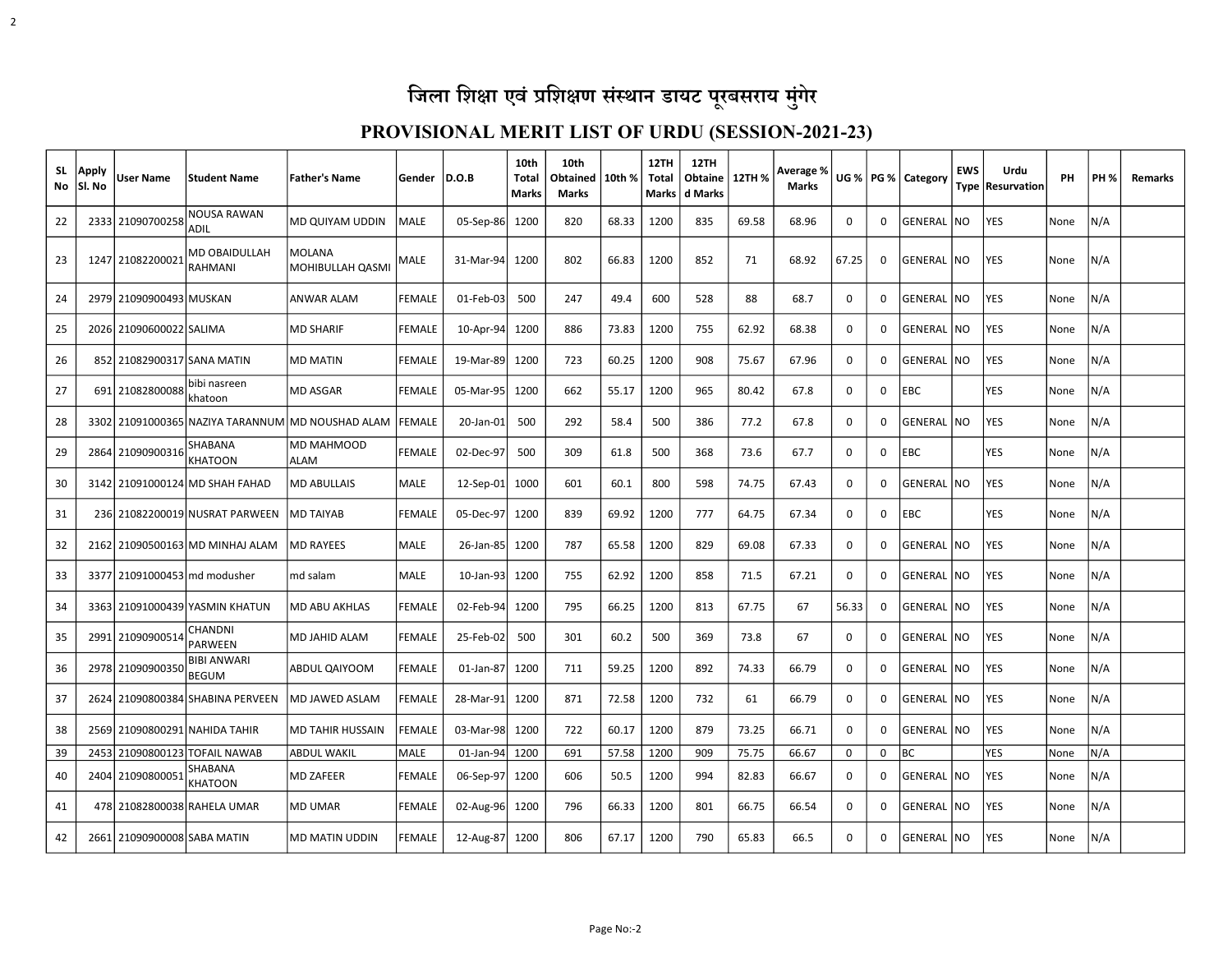| SL.<br>No | Apply<br> Sl. No | User Name                    | lStudent Name                          | <b>Father's Name</b>                             | Gender        | D.O.B          | 10th<br>Total<br>Marks | 10th<br>Obtained<br>Marks | 10th % | 12TH<br>Total<br><b>Marks</b> | 12TH<br>Obtaine<br>d Marks | 12TH % | Average %<br><b>Marks</b> |          |          | UG %   PG %   Category | <b>EWS</b>      | Urdu<br>Type   Resurvation | PH   | <b>PH %</b> | <b>Remarks</b> |
|-----------|------------------|------------------------------|----------------------------------------|--------------------------------------------------|---------------|----------------|------------------------|---------------------------|--------|-------------------------------|----------------------------|--------|---------------------------|----------|----------|------------------------|-----------------|----------------------------|------|-------------|----------------|
| 22        |                  | 2333 21090700258             | <b>NOUSA RAWAN</b><br><b>ADII</b>      | MD QUIYAM UDDIN                                  | <b>MALE</b>   | $05-Sep-86$    | 1200                   | 820                       | 68.33  | 1200                          | 835                        | 69.58  | 68.96                     | 0        | 0        | GENERAL                | <b>NO</b>       | <b>YES</b>                 | None | N/A         |                |
| 23        |                  | 1247 21082200021             | <b>MD OBAIDULLAH</b><br><b>RAHMANI</b> | MOLANA<br>MOHIBULLAH QASMI                       | MALE          | 31-Mar-94 1200 |                        | 802                       | 66.83  | 1200                          | 852                        | 71     | 68.92                     | 67.25    | 0        | GENERAL                | <b>NO</b>       | <b>YES</b>                 | None | N/A         |                |
| 24        |                  | 2979 21090900493 MUSKAN      |                                        | <b>ANWAR ALAM</b>                                | <b>FEMALE</b> | $01$ -Feb-03   | 500                    | 247                       | 49.4   | 600                           | 528                        | 88     | 68.7                      | 0        | 0        | GENERAL                | <b>INO</b>      | <b>YES</b>                 | None | N/A         |                |
| 25        |                  | 2026 21090600022 SALIMA      |                                        | <b>MD SHARIF</b>                                 | <b>FEMALE</b> | $10$ -Apr-94   | 1200                   | 886                       | 73.83  | 1200                          | 755                        | 62.92  | 68.38                     | 0        | 0        | GENERAL                | N <sub>O</sub>  | YES                        | None | N/A         |                |
| 26        |                  | 852 21082900317 SANA MATIN   |                                        | <b>MD MATIN</b>                                  | <b>FEMALE</b> | 19-Mar-89      | 1200                   | 723                       | 60.25  | 1200                          | 908                        | 75.67  | 67.96                     | 0        | 0        | GENERAL                | I NO            | YES                        | None | N/A         |                |
| 27        |                  | 691 21082800088              | bibi nasreen<br>khatoon                | <b>MD ASGAR</b>                                  | <b>FEMALE</b> | 05-Mar-95      | 1200                   | 662                       | 55.17  | 1200                          | 965                        | 80.42  | 67.8                      | 0        | 0        | EBC                    |                 | <b>YES</b>                 | None | N/A         |                |
| 28        |                  |                              |                                        | 3302 21091000365 NAZIYA TARANNUM MD NOUSHAD ALAM | FEMALE        | 20-Jan-01      | 500                    | 292                       | 58.4   | 500                           | 386                        | 77.2   | 67.8                      | 0        | 0        | GENERAL                | NO              | YES                        | None | N/A         |                |
| 29        |                  | 2864 21090900316             | SHABANA<br><b>KHATOON</b>              | MD MAHMOOD<br><b>ALAM</b>                        | <b>FEMALE</b> | 02-Dec-97      | 500                    | 309                       | 61.8   | 500                           | 368                        | 73.6   | 67.7                      | 0        | 0        | EBC                    |                 | <b>YES</b>                 | None | N/A         |                |
| 30        |                  |                              | 3142 21091000124 MD SHAH FAHAD         | <b>MD ABULLAIS</b>                               | <b>MALE</b>   | $12$ -Sep-01   | 1000                   | 601                       | 60.1   | 800                           | 598                        | 74.75  | 67.43                     | 0        | $\Omega$ | <b>GENERAL</b>         | NO              | <b>YES</b>                 | None | N/A         |                |
| 31        |                  |                              | 236 21082200019 NUSRAT PARWEEN         | <b>MD TAIYAB</b>                                 | FEMALE        | 05-Dec-97      | 1200                   | 839                       | 69.92  | 1200                          | 777                        | 64.75  | 67.34                     | 0        | 0        | EBC                    |                 | <b>YES</b>                 | None | N/A         |                |
| 32        |                  |                              | 2162 21090500163 MD MINHAJ ALAM        | <b>MD RAYEES</b>                                 | <b>MALE</b>   | 26-Jan-85      | 1200                   | 787                       | 65.58  | 1200                          | 829                        | 69.08  | 67.33                     | $\Omega$ | 0        | GENERAL                | N <sub>O</sub>  | YES                        | None | N/A         |                |
| 33        |                  | 3377 21091000453 md modusher |                                        | md salam                                         | <b>MALE</b>   | $10$ -Jan-93   | 1200                   | 755                       | 62.92  | 1200                          | 858                        | 71.5   | 67.21                     | 0        | 0        | GENERAL                | INO.            | <b>YES</b>                 | None | N/A         |                |
| 34        |                  |                              | 3363 21091000439 YASMIN KHATUN         | <b>MD ABU AKHLAS</b>                             | <b>FEMALE</b> | 02-Feb-94      | 1200                   | 795                       | 66.25  | 1200                          | 813                        | 67.75  | 67                        | 56.33    | 0        | GENERAL                | NO              | <b>YES</b>                 | None | N/A         |                |
| 35        |                  | 2991 21090900514             | CHANDNI<br><b>PARWEEN</b>              | MD JAHID ALAM                                    | <b>FEMALE</b> | 25-Feb-02      | 500                    | 301                       | 60.2   | 500                           | 369                        | 73.8   | 67                        | 0        | 0        | GENERAL                | NO.             | <b>YES</b>                 | None | N/A         |                |
| 36        |                  | 2978 21090900350             | <b>BIBI ANWARI</b><br><b>BEGUM</b>     | ABDUL QAIYOOM                                    | <b>FEMALE</b> | $01$ -Jan-87   | 1200                   | 711                       | 59.25  | 1200                          | 892                        | 74.33  | 66.79                     | 0        | 0        | GENERAL                | N <sub>O</sub>  | <b>YES</b>                 | None | N/A         |                |
| 37        |                  |                              | 2624 21090800384 SHABINA PERVEEN       | MD JAWED ASLAM                                   | <b>FEMALE</b> | 28-Mar-91      | 1200                   | 871                       | 72.58  | 1200                          | 732                        | 61     | 66.79                     | 0        | 0        | GENERAL                | <b>NO</b>       | YES                        | None | N/A         |                |
| 38        |                  |                              | 2569 21090800291 NAHIDA TAHIR          | MD TAHIR HUSSAIN                                 | <b>FEMALE</b> | 03-Mar-98      | 1200                   | 722                       | 60.17  | 1200                          | 879                        | 73.25  | 66.71                     | 0        | 0        | GENERAL INO            |                 | <b>YES</b>                 | None | N/A         |                |
| 39        |                  |                              | 2453 21090800123 TOFAIL NAWAB          | <b>ABDUL WAKIL</b>                               | <b>MALE</b>   | 01-Jan-94 1200 |                        | 691                       | 57.58  | 1200                          | 909                        | 75.75  | 66.67                     | 0        | 0        | <b>BC</b>              |                 | <b>YES</b>                 | None | N/A         |                |
| 40        |                  | 2404 21090800051             | SHABANA<br><b>KHATOON</b>              | MD ZAFEER                                        | <b>FEMALE</b> | 06-Sep-97      | 1200                   | 606                       | 50.5   | 1200                          | 994                        | 82.83  | 66.67                     | 0        | 0        | GENERAL NO             |                 | <b>YES</b>                 | None | N/A         |                |
| 41        |                  |                              | 478 21082800038 RAHELA UMAR            | <b>MD UMAR</b>                                   | <b>FEMALE</b> | $02$ -Aug-96   | 1200                   | 796                       | 66.33  | 1200                          | 801                        | 66.75  | 66.54                     | 0        | 0        | GENERAL                | NO              | YES                        | None | N/A         |                |
| 42        |                  | 2661 21090900008 SABA MATIN  |                                        | <b>MD MATIN UDDIN</b>                            | <b>FEMALE</b> | 12-Aug-87 1200 |                        | 806                       | 67.17  | 1200                          | 790                        | 65.83  | 66.5                      | 0        | $\Omega$ | GENERAL                | NO <sub>1</sub> | <b>YES</b>                 | None | N/A         |                |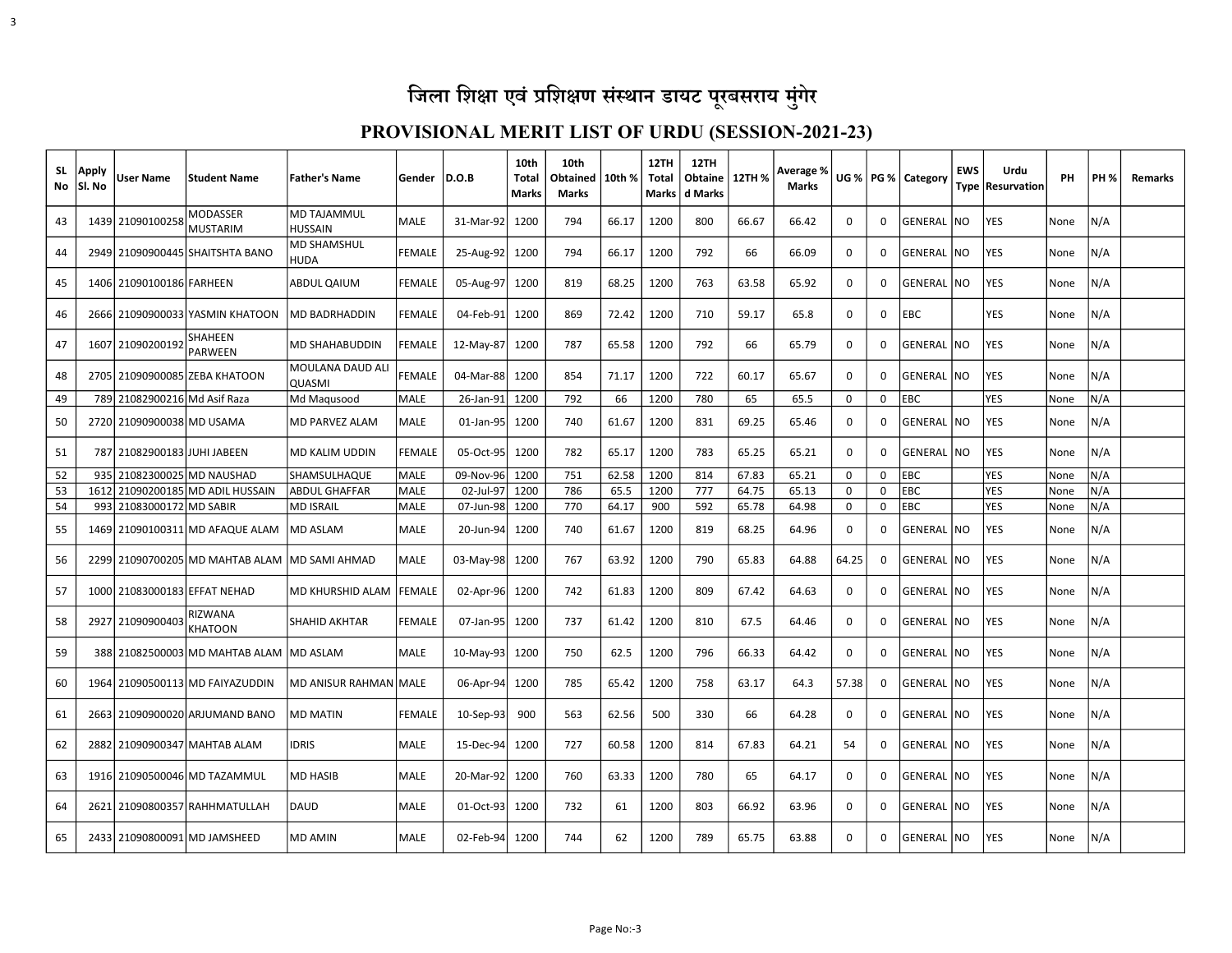| SL.<br>No | Apply<br>lSI. No | User Name                    | <b>Student Name</b>                           | <b>Father's Name</b>                 | Gender        | D.O.B          | 10th<br>Total<br>Marks | 10th<br>Obtained<br>Marks | 10th % | 12TH<br><b>Total</b> | 12TH<br>Obtaine   12TH %<br>Marks   d Marks |       | Average %<br>Marks |             |          | UG %   PG %   Category | <b>EWS</b> | Urdu<br>Type Resurvation | PH   | <b>PH %</b> | Remarks |
|-----------|------------------|------------------------------|-----------------------------------------------|--------------------------------------|---------------|----------------|------------------------|---------------------------|--------|----------------------|---------------------------------------------|-------|--------------------|-------------|----------|------------------------|------------|--------------------------|------|-------------|---------|
| 43        |                  | 1439 21090100258             | <b>MODASSER</b><br><b>MUSTARIM</b>            | <b>MD TAJAMMUL</b><br><b>HUSSAIN</b> | MALE          | 31-Mar-92      | 1200                   | 794                       | 66.17  | 1200                 | 800                                         | 66.67 | 66.42              | 0           | $\Omega$ | <b>GENERAL INO</b>     |            | YES                      | None | N/A         |         |
| 44        |                  |                              | 2949 21090900445 SHAITSHTA BANO               | <b>MD SHAMSHUL</b><br><b>HUDA</b>    | <b>FEMALE</b> | 25-Aug-92      | 1200                   | 794                       | 66.17  | 1200                 | 792                                         | 66    | 66.09              | 0           | 0        | <b>GENERAL NO</b>      |            | YES                      | None | N/A         |         |
| 45        |                  | 1406 21090100186 FARHEEN     |                                               | <b>ABDUL QAIUM</b>                   | <b>FEMALE</b> | 05-Aug-97      | 1200                   | 819                       | 68.25  | 1200                 | 763                                         | 63.58 | 65.92              | $\Omega$    | 0        | GENERAL NO             |            | YES                      | None | N/A         |         |
| 46        |                  |                              | 2666 21090900033 YASMIN KHATOON               | <b>MD BADRHADDIN</b>                 | <b>FEMALE</b> | 04-Feb-91      | 1200                   | 869                       | 72.42  | 1200                 | 710                                         | 59.17 | 65.8               | 0           | 0        | <b>EBC</b>             |            | YES                      | None | N/A         |         |
| 47        |                  | 1607 21090200192             | SHAHEEN<br><b>PARWEEN</b>                     | <b>MD SHAHABUDDIN</b>                | <b>FEMALE</b> | 12-May-87      | 1200                   | 787                       | 65.58  | 1200                 | 792                                         | 66    | 65.79              | $\Omega$    | $\Omega$ | <b>GENERAL NO</b>      |            | <b>YES</b>               | None | N/A         |         |
| 48        |                  |                              | 2705 21090900085 ZEBA KHATOON                 | MOULANA DAUD ALI<br><b>QUASMI</b>    | <b>FEMALE</b> | 04-Mar-88 1200 |                        | 854                       | 71.17  | 1200                 | 722                                         | 60.17 | 65.67              | 0           | 0        | GENERAL NO             |            | YES                      | None | N/A         |         |
| 49        |                  | 789 21082900216 Md Asif Raza |                                               | Md Magusood                          | MALE          | 26-Jan-91      | 1200                   | 792                       | 66     | 1200                 | 780                                         | 65    | 65.5               | 0           | 0        | EBC                    |            | YES                      | None | N/A         |         |
| 50        |                  | 2720 21090900038 MD USAMA    |                                               | <b>MD PARVEZ ALAM</b>                | MALE          | $01$ -Jan-95   | 1200                   | 740                       | 61.67  | 1200                 | 831                                         | 69.25 | 65.46              | 0           | 0        | GENERAL NO             |            | YES                      | None | N/A         |         |
| 51        |                  | 787 21082900183 JUHI JABEEN  |                                               | MD KALIM UDDIN                       | <b>FEMALE</b> | 05-Oct-95 1200 |                        | 782                       | 65.17  | 1200                 | 783                                         | 65.25 | 65.21              | $\Omega$    | 0        | GENERAL NO             |            | YES                      | None | N/A         |         |
| 52        |                  |                              | 935 21082300025 MD NAUSHAD                    | <b>SHAMSULHAQUE</b>                  | MALE          | 09-Nov-96      | 1200                   | 751                       | 62.58  | 1200                 | 814                                         | 67.83 | 65.21              | 0           | 0        | EBC                    |            | YES                      | None | N/A         |         |
| 53        |                  |                              | 1612 21090200185 MD ADIL HUSSAIN              | <b>LABDUL GHAFFAR</b>                | MALE          | 02-Jul-97      | 1200                   | 786                       | 65.5   | 1200                 | 777                                         | 64.75 | 65.13              | 0           | 0        | <b>IEBC</b>            |            | <b>YES</b>               | None | N/A         |         |
| 54        |                  | 993 21083000172 MD SABIR     |                                               | <b>MD ISRAIL</b>                     | MALE          | 07-Jun-98 1200 |                        | 770                       | 64.17  | 900                  | 592                                         | 65.78 | 64.98              | 0           | 0        | <b>EBC</b>             |            | YES                      | None | N/A         |         |
| 55        |                  |                              | 1469 21090100311 MD AFAQUE ALAM               | MD ASLAM                             | <b>MALE</b>   | 20-Jun-94      | 1200                   | 740                       | 61.67  | 1200                 | 819                                         | 68.25 | 64.96              | $\Omega$    | 0        | GENERAL NO             |            | YES                      | None | N/A         |         |
| 56        |                  |                              | 2299 21090700205 MD MAHTAB ALAM MD SAMI AHMAD |                                      | <b>MALE</b>   | 03-May-98 1200 |                        | 767                       | 63.92  | 1200                 | 790                                         | 65.83 | 64.88              | 64.25       | 0        | GENERAL NO             |            | YES                      | None | N/A         |         |
| 57        |                  |                              | 1000 21083000183 EFFAT NEHAD                  | MD KHURSHID ALAM                     | <b>FEMALE</b> | 02-Apr-96 1200 |                        | 742                       | 61.83  | 1200                 | 809                                         | 67.42 | 64.63              | 0           | 0        | GENERAL NO             |            | YES                      | None | N/A         |         |
| 58        |                  | 2927 21090900403             | RIZWANA<br><b>KHATOON</b>                     | <b>SHAHID AKHTAR</b>                 | <b>FEMALE</b> | 07-Jan-95 1200 |                        | 737                       | 61.42  | 1200                 | 810                                         | 67.5  | 64.46              | 0           | 0        | GENERAL NO             |            | YES                      | None | N/A         |         |
| 59        |                  |                              | 388 21082500003 MD MAHTAB ALAM                | MD ASLAM                             | MALE          | $10$ -May-93   | 1200                   | 750                       | 62.5   | 1200                 | 796                                         | 66.33 | 64.42              | $\mathbf 0$ | 0        | GENERAL NO             |            | <b>YES</b>               | None | N/A         |         |
| 60        |                  |                              | 1964 21090500113 MD FAIYAZUDDIN               | MD ANISUR RAHMAN MALE                |               | 06-Apr-94      | 1200                   | 785                       | 65.42  | 1200                 | 758                                         | 63.17 | 64.3               | 57.38       | 0        | GENERAL NO             |            | <b>YES</b>               | None | N/A         |         |
| 61        |                  |                              | 2663 21090900020 ARJUMAND BANO                | MD MATIN                             | <b>FEMALE</b> | $10-Sep-93$    | 900                    | 563                       | 62.56  | 500                  | 330                                         | 66    | 64.28              | 0           | $\Omega$ | <b>GENERAL INO</b>     |            | YES                      | None | N/A         |         |
| 62        |                  |                              | 2882 21090900347 MAHTAB ALAM                  | <b>IDRIS</b>                         | <b>MALE</b>   | 15-Dec-94      | 1200                   | 727                       | 60.58  | 1200                 | 814                                         | 67.83 | 64.21              | 54          | $\Omega$ | <b>GENERAL NO</b>      |            | <b>YES</b>               | None | N/A         |         |
| 63        |                  |                              | 1916 21090500046 MD TAZAMMUL                  | <b>MD HASIB</b>                      | <b>MALE</b>   | 20-Mar-92      | 1200                   | 760                       | 63.33  | 1200                 | 780                                         | 65    | 64.17              | 0           | 0        | GENERAL NO             |            | YES                      | None | N/A         |         |
| 64        | 2621             |                              | 21090800357 RAHHMATULLAH                      | DAUD                                 | <b>MALE</b>   | 01-Oct-93      | 1200                   | 732                       | 61     | 1200                 | 803                                         | 66.92 | 63.96              | 0           | 0        | GENERAL  NO            |            | YES                      | None | N/A         |         |
| 65        |                  |                              | 2433 21090800091 MD JAMSHEED                  | <b>MD AMIN</b>                       | MALE          | 02-Feb-94 1200 |                        | 744                       | 62     | 1200                 | 789                                         | 65.75 | 63.88              | $\Omega$    | 0        | GENERAL NO             |            | <b>YES</b>               | None | N/A         |         |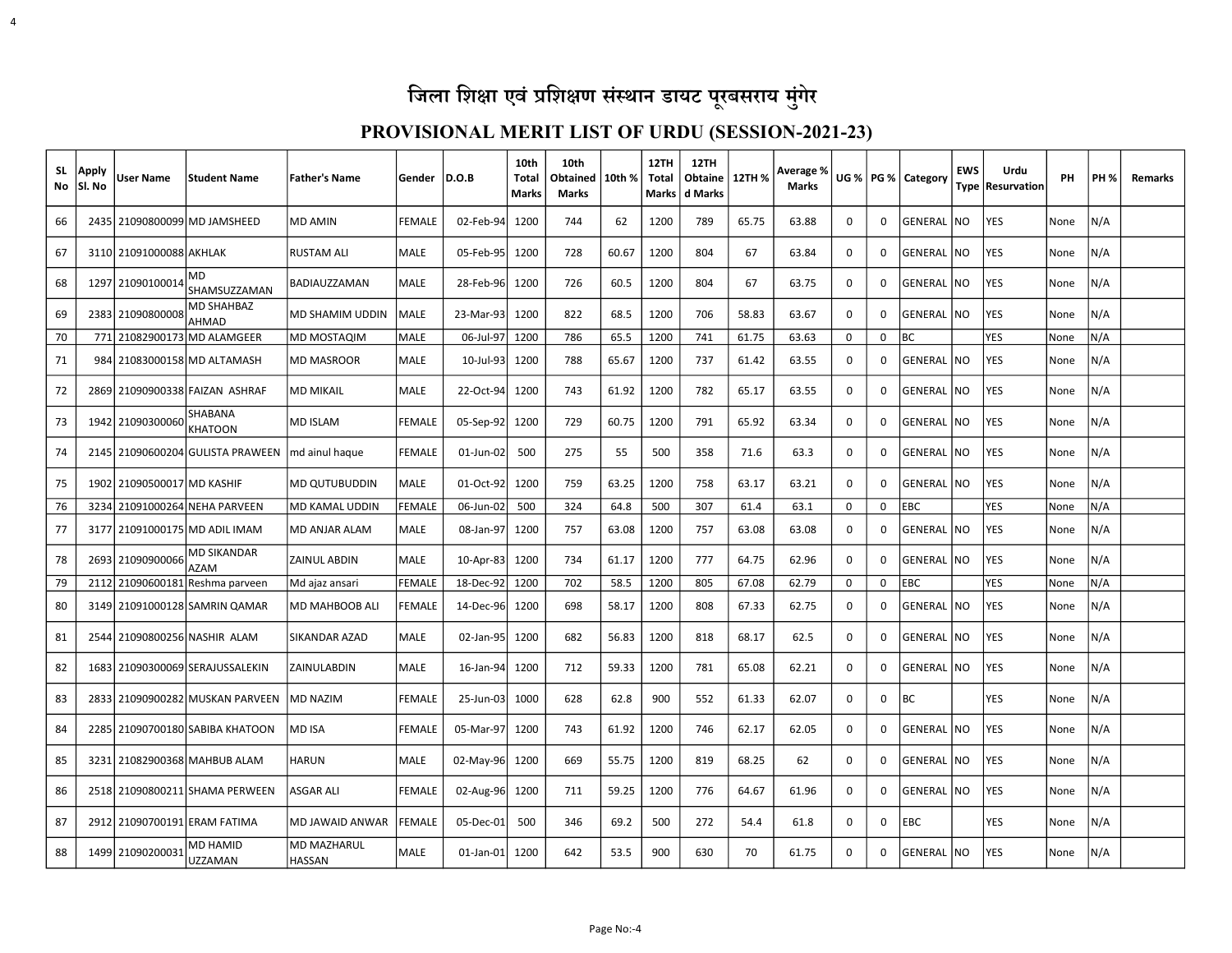4

| <b>SL</b><br>No | Apply<br>Sl. No | User Name                  | <b>Student Name</b>                 | <b>Father's Name</b>                | Gender   D.O.B |                | 10th<br>Tota<br><b>Marks</b> | 10th<br>Obtained<br>Marks | 10th % | 12TH<br>Total<br><b>Marks</b> | 12TH<br>Obtaine<br>d Marks | 12TH % | Average %<br><b>Marks</b> |             |   | UG %   PG %   Category | <b>EWS</b> | Urdu<br>Type Resurvation | PH   | <b>PH %</b> | <b>Remarks</b> |
|-----------------|-----------------|----------------------------|-------------------------------------|-------------------------------------|----------------|----------------|------------------------------|---------------------------|--------|-------------------------------|----------------------------|--------|---------------------------|-------------|---|------------------------|------------|--------------------------|------|-------------|----------------|
| 66              |                 |                            | 2435 21090800099 MD JAMSHEED        | MD AMIN                             | <b>FEMALE</b>  | 02-Feb-94      | 1200                         | 744                       | 62     | 1200                          | 789                        | 65.75  | 63.88                     | 0           | 0 | GENERAL                | INO.       | YES                      | None | N/A         |                |
| 67              |                 | 3110 21091000088 AKHLAK    |                                     | <b>RUSTAM ALI</b>                   | MALE           | 05-Feb-95      | 1200                         | 728                       | 60.67  | 1200                          | 804                        | 67     | 63.84                     | 0           | 0 | GENERAL NO             |            | YES                      | None | N/A         |                |
| 68              |                 | 1297 21090100014           | MD<br>SHAMSUZZAMAN                  | BADIAUZZAMAN                        | <b>MALE</b>    | 28-Feb-96      | 1200                         | 726                       | 60.5   | 1200                          | 804                        | 67     | 63.75                     | 0           | 0 | GENERAL NO             |            | YES                      | None | N/A         |                |
| 69              |                 | 2383 21090800008           | <b>MD SHAHBAZ</b><br>AHMAD          | <b>MD SHAMIM UDDIN</b>              | MALE           | 23-Mar-93      | 1200                         | 822                       | 68.5   | 1200                          | 706                        | 58.83  | 63.67                     | 0           | 0 | GENERAL NO             |            | YES                      | None | N/A         |                |
| 70              |                 | 771 21082900173            | <b>MD ALAMGEER</b>                  | MD MOSTAQIM                         | <b>MALE</b>    | 06-Jul-97      | 1200                         | 786                       | 65.5   | 1200                          | 741                        | 61.75  | 63.63                     | $\mathbf 0$ | 0 | <b>BC</b>              |            | YES                      | None | N/A         |                |
| 71              |                 |                            | 984 21083000158 MD ALTAMASH         | <b>MD MASROOR</b>                   | MALE           | 10-Jul-93      | 1200                         | 788                       | 65.67  | 1200                          | 737                        | 61.42  | 63.55                     | 0           | 0 | GENERAL NO             |            | <b>YES</b>               | None | N/A         |                |
| 72              |                 |                            | 2869 21090900338 FAIZAN ASHRAF      | <b>MD MIKAIL</b>                    | <b>MALE</b>    | 22-Oct-94      | 1200                         | 743                       | 61.92  | 1200                          | 782                        | 65.17  | 63.55                     | 0           | 0 | GENERAL   NO           |            | <b>YES</b>               | None | N/A         |                |
| 73              |                 | 1942 21090300060           | SHABANA<br>KHATOON                  | MD ISLAM                            | <b>FEMALE</b>  | 05-Sep-92      | 1200                         | 729                       | 60.75  | 1200                          | 791                        | 65.92  | 63.34                     | 0           | 0 | GENERAL NO             |            | YES                      | None | N/A         |                |
| 74              |                 |                            | 2145 21090600204 GULISTA PRAWEEN    | md ainul haque                      | <b>FEMALE</b>  | 01-Jun-02      | 500                          | 275                       | 55     | 500                           | 358                        | 71.6   | 63.3                      | 0           | 0 | GENERAL NO             |            | <b>YES</b>               | None | N/A         |                |
| 75              |                 | 1902 21090500017 MD KASHIF |                                     | MD QUTUBUDDIN                       | MALE           | 01-Oct-92      | 1200                         | 759                       | 63.25  | 1200                          | 758                        | 63.17  | 63.21                     | $\mathbf 0$ | 0 | GENERAL NO             |            | YES                      | None | N/A         |                |
| 76              |                 |                            | 3234 21091000264 NEHA PARVEEN       | MD KAMAL UDDIN                      | FEMALE         | 06-Jun-02      | 500                          | 324                       | 64.8   | 500                           | 307                        | 61.4   | 63.1                      | 0           | 0 | EBC                    |            | YES                      | None | N/A         |                |
| 77              |                 |                            | 3177 21091000175 MD ADIL IMAM       | MD ANJAR ALAM                       | MALE           | 08-Jan-97      | 1200                         | 757                       | 63.08  | 1200                          | 757                        | 63.08  | 63.08                     | 0           | 0 | GENERAL NO             |            | YES                      | None | N/A         |                |
| 78              |                 | 2693 21090900066           | MD SIKANDAR<br><b>AZAM</b>          | ZAINUL ABDIN                        | MALE           | $10$ -Apr-83   | 1200                         | 734                       | 61.17  | 1200                          | 777                        | 64.75  | 62.96                     | 0           | 0 | GENERAL NO             |            | YES                      | None | N/A         |                |
| 79              |                 |                            | 2112 21090600181 Reshma parveen     | Md ajaz ansari                      | FEMALE         | 18-Dec-92 1200 |                              | 702                       | 58.5   | 1200                          | 805                        | 67.08  | 62.79                     | $\mathbf 0$ | 0 | EBC                    |            | YES                      | None | N/A         |                |
| 80              |                 |                            | 3149 21091000128 SAMRIN QAMAR       | MD MAHBOOB ALI                      | <b>FEMALE</b>  | 14-Dec-96      | 1200                         | 698                       | 58.17  | 1200                          | 808                        | 67.33  | 62.75                     | 0           | 0 | GENERAL NO             |            | YES                      | None | N/A         |                |
| 81              |                 |                            | 2544 21090800256 NASHIR ALAM        | <b>SIKANDAR AZAD</b>                | <b>MALE</b>    | 02-Jan-95      | 1200                         | 682                       | 56.83  | 1200                          | 818                        | 68.17  | 62.5                      | 0           | 0 | GENERAL NO             |            | <b>YES</b>               | None | N/A         |                |
| 82              |                 |                            | 1683   21090300069   SERAJUSSALEKIN | ZAINULABDIN                         | MALE           | 16-Jan-94      | 1200                         | 712                       | 59.33  | 1200                          | 781                        | 65.08  | 62.21                     | 0           | 0 | GENERAL NO             |            | YES                      | None | N/A         |                |
| 83              |                 |                            | 2833 21090900282 MUSKAN PARVEEN     | <b>MD NAZIM</b>                     | <b>FEMALE</b>  | 25-Jun-03      | 1000                         | 628                       | 62.8   | 900                           | 552                        | 61.33  | 62.07                     | 0           | 0 | <b>BC</b>              |            | YES                      | None | N/A         |                |
| 84              |                 |                            | 2285 21090700180 SABIBA KHATOON     | MD ISA                              | <b>FEMALE</b>  | 05-Mar-97      | 1200                         | 743                       | 61.92  | 1200                          | 746                        | 62.17  | 62.05                     | 0           | 0 | GENERAL NO             |            | <b>YES</b>               | None | N/A         |                |
| 85              |                 |                            | 3231 21082900368 MAHBUB ALAM        | HARUN                               | <b>MALE</b>    | 02-May-96      | 1200                         | 669                       | 55.75  | 1200                          | 819                        | 68.25  | 62                        | $\Omega$    | 0 | <b>GENERAL NO</b>      |            | <b>YES</b>               | None | N/A         |                |
| 86              |                 |                            | 2518 21090800211 SHAMA PERWEEN      | ASGAR ALI                           | FEMALE         | 02-Aug-96      | 1200                         | 711                       | 59.25  | 1200                          | 776                        | 64.67  | 61.96                     | 0           | 0 | GENERAL NO             |            | YES                      | None | N/A         |                |
| 87              |                 |                            | 2912 21090700191 ERAM FATIMA        | <b>MD JAWAID ANWAR</b>              | <b>FEMALE</b>  | 05-Dec-01      | 500                          | 346                       | 69.2   | 500                           | 272                        | 54.4   | 61.8                      | 0           | 0 | <b>EBC</b>             |            | <b>YES</b>               | None | N/A         |                |
| 88              |                 | 1499 21090200031           | MD HAMID<br>UZZAMAN                 | <b>MD MAZHARUL</b><br><b>HASSAN</b> | MALE           | 01-Jan-01 1200 |                              | 642                       | 53.5   | 900                           | 630                        | 70     | 61.75                     | 0           | 0 | GENERAL NO             |            | YES                      | None | N/A         |                |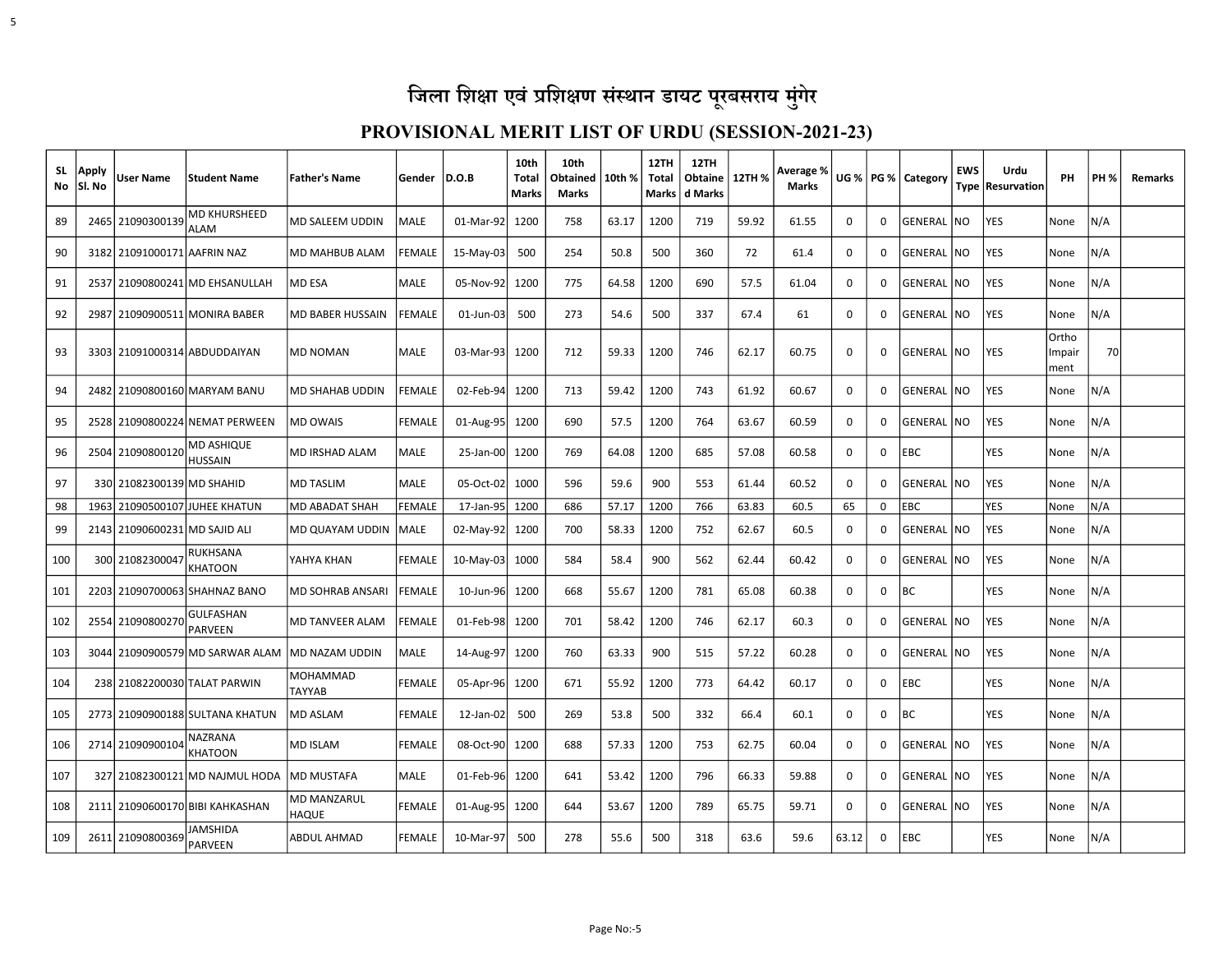| SL.<br>No | Apply<br>Sl. No | <b>User Name</b>              | <b>Student Name</b>                | <b>Father's Name</b>               | Gender        | D.O.B          | 10th<br>Total<br>Marks | 10th<br>Obtained<br>Marks | 10th % | 12TH<br>Total<br>Marks | 12TH<br>Obtaine   12TH %<br>l d Marks |       | Average %<br><b>Marks</b> |             |              | UG %   PG %   Category | <b>EWS</b> | Urdu<br>Type   Resurvation | PH                      | <b>PH %</b> | <b>Remarks</b> |
|-----------|-----------------|-------------------------------|------------------------------------|------------------------------------|---------------|----------------|------------------------|---------------------------|--------|------------------------|---------------------------------------|-------|---------------------------|-------------|--------------|------------------------|------------|----------------------------|-------------------------|-------------|----------------|
| 89        |                 | 2465 21090300139              | <b>MD KHURSHEED</b><br><b>ALAM</b> | <b>MD SALEEM UDDIN</b>             | MALE          | 01-Mar-92      | 1200                   | 758                       | 63.17  | 1200                   | 719                                   | 59.92 | 61.55                     | 0           | 0            | GENERAL                | NO         | <b>YES</b>                 | None                    | N/A         |                |
| 90        |                 | 3182 21091000171 AAFRIN NAZ   |                                    | <b>MD MAHBUB ALAM</b>              | <b>FEMALE</b> | 15-May-03      | 500                    | 254                       | 50.8   | 500                    | 360                                   | 72    | 61.4                      | 0           | 0            | GENERAL                | <b>NO</b>  | YES                        | None                    | N/A         |                |
| 91        |                 |                               | 2537 21090800241 MD EHSANULLAH     | <b>MD ESA</b>                      | <b>MALE</b>   | 05-Nov-92      | 1200                   | 775                       | 64.58  | 1200                   | 690                                   | 57.5  | 61.04                     | $\Omega$    | 0            | GENERAL NO             |            | <b>YES</b>                 | None                    | N/A         |                |
| 92        |                 |                               | 2987 21090900511 MONIRA BABER      | MD BABER HUSSAIN                   | <b>FEMALE</b> | 01-Jun-03      | 500                    | 273                       | 54.6   | 500                    | 337                                   | 67.4  | 61                        | 0           | 0            | GENERAL                | <b>NO</b>  | YES                        | None                    | N/A         |                |
| 93        |                 |                               | 3303 21091000314 ABDUDDAIYAN       | <b>MD NOMAN</b>                    | <b>MALE</b>   | 03-Mar-93      | 1200                   | 712                       | 59.33  | 1200                   | 746                                   | 62.17 | 60.75                     | $\Omega$    | <sup>0</sup> | GENERAL INO            |            | <b>YES</b>                 | Ortho<br>Impair<br>ment | 70          |                |
| 94        |                 |                               | 2482 21090800160 MARYAM BANU       | MD SHAHAB UDDIN                    | <b>FEMALE</b> | 02-Feb-94      | 1200                   | 713                       | 59.42  | 1200                   | 743                                   | 61.92 | 60.67                     | 0           | 0            | GENERAL   NO           |            | <b>YES</b>                 | None                    | N/A         |                |
| 95        |                 |                               | 2528 21090800224 NEMAT PERWEEN     | <b>MD OWAIS</b>                    | FEMALE        | $01$ -Aug-95   | 1200                   | 690                       | 57.5   | 1200                   | 764                                   | 63.67 | 60.59                     | 0           | 0            | GENERAL                | <b>NO</b>  | YES                        | None                    | N/A         |                |
| 96        |                 | 2504 21090800120              | MD ASHIQUE<br><b>HUSSAIN</b>       | MD IRSHAD ALAM                     | MALE          | 25-Jan-00 1200 |                        | 769                       | 64.08  | 1200                   | 685                                   | 57.08 | 60.58                     | $\Omega$    | 0            | EBC                    |            | <b>YES</b>                 | None                    | N/A         |                |
| 97        |                 | 330 21082300139 MD SHAHID     |                                    | <b>MD TASLIM</b>                   | <b>MALE</b>   | 05-Oct-02      | 1000                   | 596                       | 59.6   | 900                    | 553                                   | 61.44 | 60.52                     | $\Omega$    | $\Omega$     | GENERAL INO            |            | YES                        | None                    | N/A         |                |
| 98        |                 |                               | 1963 21090500107 JUHEE KHATUN      | MD ABADAT SHAH                     | <b>FEMALE</b> | 17-Jan-95      | 1200                   | 686                       | 57.17  | 1200                   | 766                                   | 63.83 | 60.5                      | 65          | 0            | EBC                    |            | <b>YES</b>                 | None                    | N/A         |                |
| 99        |                 | 2143 21090600231 MD SAJID ALI |                                    | MD QUAYAM UDDIN                    | <b>IMALE</b>  | 02-May-92      | 1200                   | 700                       | 58.33  | 1200                   | 752                                   | 62.67 | 60.5                      | 0           | 0            | GENERAL NO             |            | <b>YES</b>                 | None                    | N/A         |                |
| 100       |                 | 300 21082300047               | <b>RUKHSANA</b><br><b>KHATOON</b>  | YAHYA KHAN                         | <b>FEMALE</b> | $10-Mav-03$    | 1000                   | 584                       | 58.4   | 900                    | 562                                   | 62.44 | 60.42                     | $\Omega$    | $\Omega$     | GENERAL NO             |            | <b>YES</b>                 | None                    | N/A         |                |
| 101       |                 |                               | 2203 21090700063 SHAHNAZ BANO      | <b>MD SOHRAB ANSARI</b>            | <b>FEMALE</b> | 10-Jun-96      | 1200                   | 668                       | 55.67  | 1200                   | 781                                   | 65.08 | 60.38                     | 0           | 0            | ВC                     |            | YES                        | None                    | N/A         |                |
| 102       |                 | 2554 21090800270              | <b>GULFASHAN</b><br><b>PARVEEN</b> | <b>MD TANVEER ALAM</b>             | <b>FEMALE</b> | 01-Feb-98 1200 |                        | 701                       | 58.42  | 1200                   | 746                                   | 62.17 | 60.3                      | $\Omega$    | 0            | GENERAL NO             |            | <b>YES</b>                 | None                    | N/A         |                |
| 103       |                 |                               | 3044 21090900579 MD SARWAR ALAM    | MD NAZAM UDDIN                     | MALE          | 14-Aug-97      | 1200                   | 760                       | 63.33  | 900                    | 515                                   | 57.22 | 60.28                     | $\Omega$    | 0            | GENERAL                | <b>NO</b>  | YES                        | None                    | N/A         |                |
| 104       |                 |                               | 238 21082200030 TALAT PARWIN       | <b>MOHAMMAD</b><br><b>TAYYAB</b>   | <b>FEMALE</b> | 05-Apr-96      | 1200                   | 671                       | 55.92  | 1200                   | 773                                   | 64.42 | 60.17                     | 0           | 0            | EBC                    |            | <b>YES</b>                 | None                    | N/A         |                |
| 105       |                 |                               | 2773 21090900188 SULTANA KHATUN    | <b>MD ASLAM</b>                    | <b>FEMALE</b> | 12-Jan-02      | 500                    | 269                       | 53.8   | 500                    | 332                                   | 66.4  | 60.1                      | $\mathbf 0$ | 0            | ВC                     |            | YES                        | None                    | N/A         |                |
| 106       |                 | 2714 21090900104              | NAZRANA<br><b>KHATOON</b>          | <b>MD ISLAM</b>                    | FEMALE        | 08-Oct-90      | 1200                   | 688                       | 57.33  | 1200                   | 753                                   | 62.75 | 60.04                     | 0           | 0            | GENERAL  NO            |            | <b>YES</b>                 | None                    | N/A         |                |
| 107       |                 |                               | 327 21082300121 MD NAJMUL HODA     | MD MUSTAFA                         | MALE          | 01-Feb-96      | 1200                   | 641                       | 53.42  | 1200                   | 796                                   | 66.33 | 59.88                     | 0           | $\Omega$     | GENERAL                | <b>NO</b>  | <b>YES</b>                 | None                    | N/A         |                |
| 108       |                 |                               | 2111 21090600170 BIBI KAHKASHAN    | <b>MD MANZARUL</b><br><b>HAQUE</b> | <b>FEMALE</b> | 01-Aug-95      | 1200                   | 644                       | 53.67  | 1200                   | 789                                   | 65.75 | 59.71                     | 0           | 0            | GENERAL  NO            |            | <b>YES</b>                 | None                    | N/A         |                |
| 109       |                 | 2611 21090800369              | JAMSHIDA<br><b>PARVEEN</b>         | <b>ABDUL AHMAD</b>                 | <b>FEMALE</b> | 10-Mar-97      | 500                    | 278                       | 55.6   | 500                    | 318                                   | 63.6  | 59.6                      | 63.12       | 0            | <b>EBC</b>             |            | <b>YES</b>                 | None                    | N/A         |                |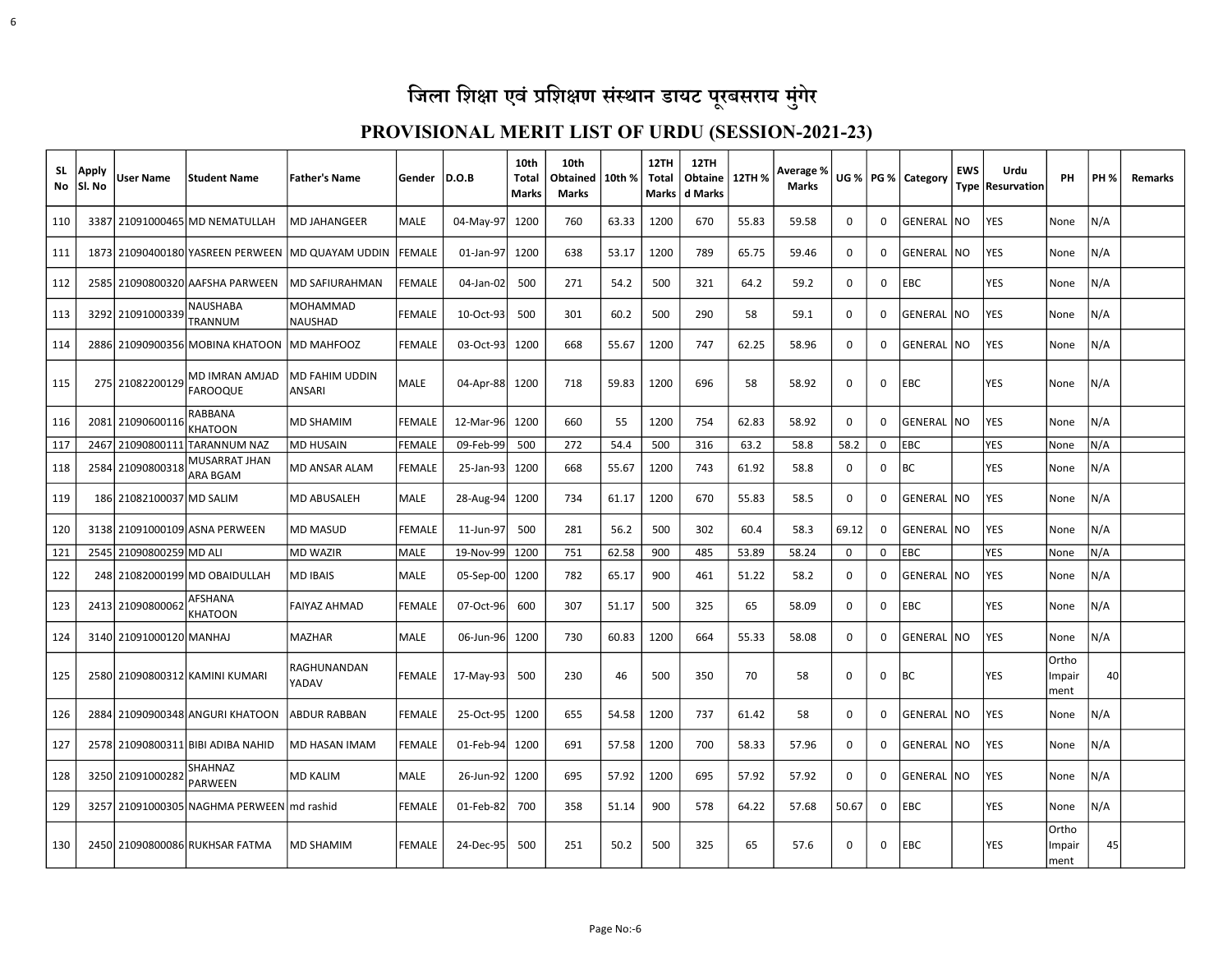| <b>SL</b><br>No | Apply<br>Sl. No | User Name                | <b>Student Name</b>               | <b>Father's Name</b>            | Gender        | D.O.B          | 10th<br>Total<br>Marks | 10th<br>Obtained<br><b>Marks</b> | 10th % | 12TH<br>Total<br>Marks | 12TH<br>Obtaine<br>d Marks | 12TH % | Average %<br><b>Marks</b> | UG %  |              | PG %   Category | <b>EWS</b>     | Urdu<br>Type Resurvation | PH                      | <b>PH %</b> | <b>Remarks</b> |
|-----------------|-----------------|--------------------------|-----------------------------------|---------------------------------|---------------|----------------|------------------------|----------------------------------|--------|------------------------|----------------------------|--------|---------------------------|-------|--------------|-----------------|----------------|--------------------------|-------------------------|-------------|----------------|
| 110             |                 |                          | 3387 21091000465 MD NEMATULLAH    | MD JAHANGEER                    | <b>MALE</b>   | 04-May-97      | 1200                   | 760                              | 63.33  | 1200                   | 670                        | 55.83  | 59.58                     | 0     | 0            | GENERAL NO      |                | YES                      | None                    | N/A         |                |
| 111             |                 |                          | 1873 21090400180 YASREEN PERWEEN  | MD QUAYAM UDDIN                 | <b>FEMALE</b> | 01-Jan-97      | 1200                   | 638                              | 53.17  | 1200                   | 789                        | 65.75  | 59.46                     | 0     | 0            | GENERAL NO      |                | YES                      | None                    | N/A         |                |
| 112             |                 |                          | 2585 21090800320 AAFSHA PARWEEN   | <b>MD SAFIURAHMAN</b>           | <b>FEMALE</b> | 04-Jan-02      | 500                    | 271                              | 54.2   | 500                    | 321                        | 64.2   | 59.2                      | 0     | 0            | <b>EBC</b>      |                | YES                      | None                    | N/A         |                |
| 113             |                 | 3292 21091000339         | NAUSHABA<br>TRANNUM               | MOHAMMAD<br>NAUSHAD             | <b>FEMALE</b> | 10-Oct-93      | 500                    | 301                              | 60.2   | 500                    | 290                        | 58     | 59.1                      | 0     | 0            | GENERAL NO      |                | YES                      | None                    | N/A         |                |
| 114             |                 |                          | 2886 21090900356 MOBINA KHATOON   | MD MAHFOOZ                      | <b>FEMALE</b> | 03-Oct-93      | 1200                   | 668                              | 55.67  | 1200                   | 747                        | 62.25  | 58.96                     | 0     | 0            | GENERAL NO      |                | YES                      | None                    | N/A         |                |
| 115             |                 | 275 21082200129          | MD IMRAN AMJAD<br><b>FAROOQUE</b> | <b>MD FAHIM UDDIN</b><br>ANSARI | MALE          | 04-Apr-88 1200 |                        | 718                              | 59.83  | 1200                   | 696                        | 58     | 58.92                     | 0     | 0            | <b>EBC</b>      |                | YES                      | None                    | N/A         |                |
| 116             |                 | 2081 21090600116         | RABBANA<br>KHATOON                | MD SHAMIM                       | <b>FEMALE</b> | 12-Mar-96      | 1200                   | 660                              | 55     | 1200                   | 754                        | 62.83  | 58.92                     | 0     | 0            | GENERAL  NO     |                | YES                      | None                    | N/A         |                |
| 117             |                 | 2467 21090800111         | ITARANNUM NAZ                     | <b>MD HUSAIN</b>                | <b>FEMALE</b> | 09-Feb-99      | 500                    | 272                              | 54.4   | 500                    | 316                        | 63.2   | 58.8                      | 58.2  | 0            | <b>EBC</b>      |                | <b>YES</b>               | None                    | N/A         |                |
| 118             |                 | 2584 21090800318         | MUSARRAT JHAN<br>ARA BGAM         | MD ANSAR ALAM                   | <b>FEMALE</b> | 25-Jan-93      | 1200                   | 668                              | 55.67  | 1200                   | 743                        | 61.92  | 58.8                      | 0     | 0            | <b>BC</b>       |                | YES                      | None                    | N/A         |                |
| 119             |                 | 186 21082100037 MD SALIM |                                   | MD ABUSALEH                     | MALE          | 28-Aug-94      | 1200                   | 734                              | 61.17  | 1200                   | 670                        | 55.83  | 58.5                      | 0     | 0            | GENERAL NO      |                | YES                      | None                    | N/A         |                |
| 120             |                 |                          | 3138 21091000109 ASNA PERWEEN     | MD MASUD                        | <b>FEMALE</b> | 11-Jun-97      | 500                    | 281                              | 56.2   | 500                    | 302                        | 60.4   | 58.3                      | 69.12 | $\Omega$     | GENERAL INO     |                | YES                      | None                    | N/A         |                |
| 121             |                 | 2545 21090800259 MD ALI  |                                   | <b>MD WAZIR</b>                 | MALE          | 19-Nov-99      | 1200                   | 751                              | 62.58  | 900                    | 485                        | 53.89  | 58.24                     | 0     | $\mathbf 0$  | <b>EBC</b>      |                | <b>YES</b>               | None                    | N/A         |                |
| 122             |                 |                          | 248 21082000199 MD OBAIDULLAH     | MD IBAIS.                       | <b>MALE</b>   | $05-Sep-00$    | 1200                   | 782                              | 65.17  | 900                    | 461                        | 51.22  | 58.2                      | 0     | 0            | GENERAL INO     |                | YES                      | None                    | N/A         |                |
| 123             |                 | 2413 21090800062         | AFSHANA<br>KHATOON                | FAIYAZ AHMAD                    | <b>FEMALE</b> | 07-Oct-96      | 600                    | 307                              | 51.17  | 500                    | 325                        | 65     | 58.09                     | 0     | 0            | EBC             |                | YES                      | None                    | N/A         |                |
| 124             |                 | 3140 21091000120 MANHAJ  |                                   | <b>MAZHAR</b>                   | <b>MALE</b>   | 06-Jun-96l     | 1200                   | 730                              | 60.83  | 1200                   | 664                        | 55.33  | 58.08                     | 0     | 0            | GENERAL INO     |                | <b>YES</b>               | None                    | N/A         |                |
| 125             |                 |                          | 2580 21090800312 KAMINI KUMARI    | RAGHUNANDAN<br>YADAV            | <b>FEMALE</b> | 17-May-93      | 500                    | 230                              | 46     | 500                    | 350                        | 70     | 58                        | 0     | 0            | <b>BC</b>       |                | YES                      | Ortho<br>Impair<br>ment | 40          |                |
| 126             |                 |                          | 2884 21090900348 ANGURI KHATOON   | <b>ABDUR RABBAN</b>             | <b>FEMALE</b> | 25-Oct-95      | 1200                   | 655                              | 54.58  | 1200                   | 737                        | 61.42  | 58                        | 0     | 0            | GENERAL INO     |                | <b>YES</b>               | None                    | N/A         |                |
| 127             |                 |                          | 2578 21090800311 BIBI ADIBA NAHID | MD HASAN IMAM                   | FEMALE        | 01-Feb-94      | 1200                   | 691                              | 57.58  | 1200                   | 700                        | 58.33  | 57.96                     | 0     | 0            | GENERAL         | N <sub>O</sub> | YES                      | None                    | N/A         |                |
| 128             |                 | 3250 21091000282         | SHAHNAZ<br><b>PARWEEN</b>         | <b>MD KALIM</b>                 | MALE          | 26-Jun-92      | 1200                   | 695                              | 57.92  | 1200                   | 695                        | 57.92  | 57.92                     | 0     | $\mathbf{0}$ | GENERAL  NO     |                | YES                      | None                    | N/A         |                |
| 129             |                 |                          | 3257 21091000305 NAGHMA PERWEEN   | md rashid                       | <b>FEMALE</b> | 01-Feb-82      | 700                    | 358                              | 51.14  | 900                    | 578                        | 64.22  | 57.68                     | 50.67 | 0            | EBC             |                | YES                      | None                    | N/A         |                |
| 130             |                 |                          | 2450 21090800086 RUKHSAR FATMA    | <b>MD SHAMIM</b>                | <b>FEMALE</b> | 24-Dec-95      | 500                    | 251                              | 50.2   | 500                    | 325                        | 65     | 57.6                      | 0     | 0            | <b>EBC</b>      |                | YES                      | Ortho<br>Impair<br>ment | 45          |                |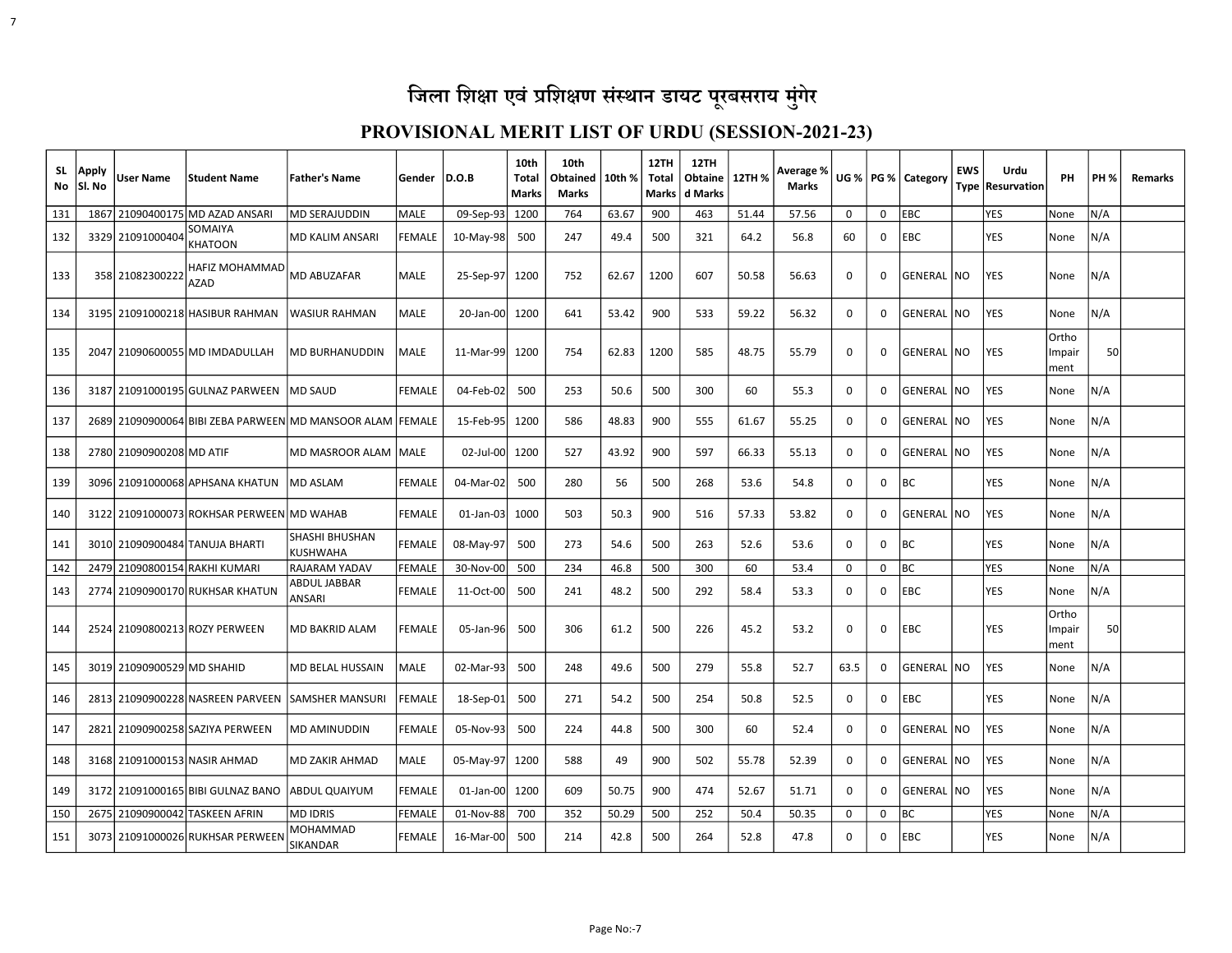7

| SL<br>No | Apply<br>Sl. No | <b>User Name</b>           | Student Name                              | Father's Name                                             | Gender        | D.O.B          | 10th<br>Total<br>Marks | 10th<br>Obtained<br>Marks | 10th % | 12TH<br>Total<br>Marks | 12TH<br>Obtaine<br>d Marks | 12TH % | Average %<br>Marks |             |          | UG %   PG %   Category | <b>EWS</b> | Urdu<br>Type   Resurvation | PH                      | <b>PH %</b> | Remarks |
|----------|-----------------|----------------------------|-------------------------------------------|-----------------------------------------------------------|---------------|----------------|------------------------|---------------------------|--------|------------------------|----------------------------|--------|--------------------|-------------|----------|------------------------|------------|----------------------------|-------------------------|-------------|---------|
| 131      | 1867            |                            | 21090400175 MD AZAD ANSARI                | MD SERAJUDDIN                                             | <b>MALE</b>   | 09-Sep-93      | 1200                   | 764                       | 63.67  | 900                    | 463                        | 51.44  | 57.56              | 0           | 0        | <b>EBC</b>             |            | <b>YES</b>                 | None                    | N/A         |         |
| 132      |                 | 3329 21091000404           | SOMAIYA<br><b>KHATOON</b>                 | MD KALIM ANSARI                                           | <b>FEMALE</b> | 10-May-98      | 500                    | 247                       | 49.4   | 500                    | 321                        | 64.2   | 56.8               | 60          | 0        | EBC                    |            | <b>YES</b>                 | None                    | N/A         |         |
| 133      |                 | 358 21082300222            | <b>HAFIZ MOHAMMAD</b><br><b>AZAD</b>      | <b>MD ABUZAFAR</b>                                        | <b>MALE</b>   | 25-Sep-97 1200 |                        | 752                       | 62.67  | 1200                   | 607                        | 50.58  | 56.63              | 0           | 0        | GENERAL NO             |            | <b>YES</b>                 | None                    | N/A         |         |
| 134      |                 |                            | 3195 21091000218 HASIBUR RAHMAN           | lwasiur rahman                                            | <b>MALE</b>   | $20$ -Jan-00   | 1200                   | 641                       | 53.42  | 900                    | 533                        | 59.22  | 56.32              | 0           | 0        | GENERAL                | INO.       | YES                        | None                    | N/A         |         |
| 135      |                 |                            | 2047 21090600055 MD IMDADULLAH            | <b>MD BURHANUDDIN</b>                                     | <b>MALE</b>   | 11-Mar-99 1200 |                        | 754                       | 62.83  | 1200                   | 585                        | 48.75  | 55.79              | 0           | 0        | GENERAL INO            |            | <b>YES</b>                 | Ortho<br>Impair<br>ment | 50          |         |
| 136      |                 |                            | 3187 21091000195 GULNAZ PARWEEN           | MD SAUD                                                   | <b>FEMALE</b> | 04-Feb-02      | 500                    | 253                       | 50.6   | 500                    | 300                        | 60     | 55.3               | 0           | 0        | GENERAL                | INO.       | YES                        | None                    | N/A         |         |
| 137      |                 |                            |                                           | 2689 21090900064 BIBI ZEBA PARWEEN MD MANSOOR ALAM FEMALE |               | 15-Feb-95      | 1200                   | 586                       | 48.83  | 900                    | 555                        | 61.67  | 55.25              | 0           | 0        | GENERAL   NO           |            | YES                        | None                    | N/A         |         |
| 138      |                 | 2780 21090900208 MD ATIF   |                                           | MD MASROOR ALAM MALE                                      |               | 02-Jul-00      | 1200                   | 527                       | 43.92  | 900                    | 597                        | 66.33  | 55.13              | $\Omega$    | 0        | GENERAL  NO            |            | YES                        | None                    | N/A         |         |
| 139      |                 |                            | 3096 21091000068 APHSANA KHATUN           | <b>MD ASLAM</b>                                           | <b>FEMALE</b> | 04-Mar-02      | 500                    | 280                       | 56     | 500                    | 268                        | 53.6   | 54.8               | $\Omega$    | 0        | BC.                    |            | YES                        | None                    | N/A         |         |
| 140      |                 |                            | 3122 21091000073 ROKHSAR PERWEEN MD WAHAB |                                                           | <b>FEMALE</b> | $01$ -Jan-03   | 1000                   | 503                       | 50.3   | 900                    | 516                        | 57.33  | 53.82              | 0           | 0        | GENERAL NO             |            | YES                        | None                    | N/A         |         |
| 141      |                 |                            | 3010 21090900484 TANUJA BHARTI            | <b>SHASHI BHUSHAN</b><br><b>KUSHWAHA</b>                  | <b>FEMALE</b> | 08-May-97      | 500                    | 273                       | 54.6   | 500                    | 263                        | 52.6   | 53.6               | 0           | 0        | ВC                     |            | <b>YES</b>                 | None                    | N/A         |         |
| 142      |                 |                            | 2479 21090800154 RAKHI KUMARI             | <b>RAJARAM YADAV</b>                                      | <b>FEMALE</b> | 30-Nov-00      | 500                    | 234                       | 46.8   | 500                    | 300                        | 60     | 53.4               | $\mathbf 0$ | 0        | <b>BC</b>              |            | <b>YES</b>                 | None                    | N/A         |         |
| 143      |                 |                            | 2774 21090900170 RUKHSAR KHATUN           | ABDUL JABBAR<br><b>ANSARI</b>                             | <b>FEMALE</b> | 11-Oct-00      | 500                    | 241                       | 48.2   | 500                    | 292                        | 58.4   | 53.3               | 0           | 0        | EBC                    |            | <b>YES</b>                 | None                    | N/A         |         |
| 144      |                 |                            | 2524 21090800213 ROZY PERWEEN             | MD BAKRID ALAM                                            | <b>FEMALE</b> | 05-Jan-96      | 500                    | 306                       | 61.2   | 500                    | 226                        | 45.2   | 53.2               | 0           | 0        | <b>EBC</b>             |            | <b>YES</b>                 | Ortho<br>Impair<br>ment | 50          |         |
| 145      |                 | 3019 21090900529 MD SHAHID |                                           | MD BELAL HUSSAIN                                          | <b>MALE</b>   | 02-Mar-93      | 500                    | 248                       | 49.6   | 500                    | 279                        | 55.8   | 52.7               | 63.5        | 0        | GENERAL NO             |            | YES                        | None                    | N/A         |         |
| 146      |                 |                            | 2813 21090900228 NASREEN PARVEEN          | ISAMSHER MANSURI                                          | FEMALE        | 18-Sep-01      | 500                    | 271                       | 54.2   | 500                    | 254                        | 50.8   | 52.5               | $\Omega$    | 0        | EBC                    |            | YES                        | None                    | N/A         |         |
| 147      |                 |                            | 2821 21090900258 SAZIYA PERWEEN           | <b>MD AMINUDDIN</b>                                       | <b>FEMALE</b> | 05-Nov-93      | 500                    | 224                       | 44.8   | 500                    | 300                        | 60     | 52.4               | $\Omega$    | $\Omega$ | GENERAL   NO           |            | <b>YES</b>                 | None                    | N/A         |         |
| 148      |                 |                            | 3168 21091000153 NASIR AHMAD              | <b>MD ZAKIR AHMAD</b>                                     | MALE          | 05-May-97      | 1200                   | 588                       | 49     | 900                    | 502                        | 55.78  | 52.39              | 0           | 0        | GENERAL   NO           |            | YES                        | None                    | N/A         |         |
| 149      |                 |                            | 3172 21091000165 BIBI GULNAZ BANO         | <b>ABDUL QUAIYUM</b>                                      | <b>FEMALE</b> | 01-Jan-00l     | 1200                   | 609                       | 50.75  | 900                    | 474                        | 52.67  | 51.71              | 0           | 0        | GENERAL  NO            |            | <b>YES</b>                 | None                    | N/A         |         |
| 150      |                 |                            | 2675 21090900042 TASKEEN AFRIN            | <b>MD IDRIS</b>                                           | <b>FEMALE</b> | 01-Nov-88      | 700                    | 352                       | 50.29  | 500                    | 252                        | 50.4   | 50.35              | 0           | 0        | <b>BC</b>              |            | <b>YES</b>                 | None                    | N/A         |         |
| 151      |                 |                            | 3073 21091000026 RUKHSAR PERWEEN          | MOHAMMAD<br><b>SIKANDAR</b>                               | <b>FEMALE</b> | 16-Mar-00      | 500                    | 214                       | 42.8   | 500                    | 264                        | 52.8   | 47.8               | $\Omega$    | 0        | EBC                    |            | <b>YES</b>                 | None                    | N/A         |         |